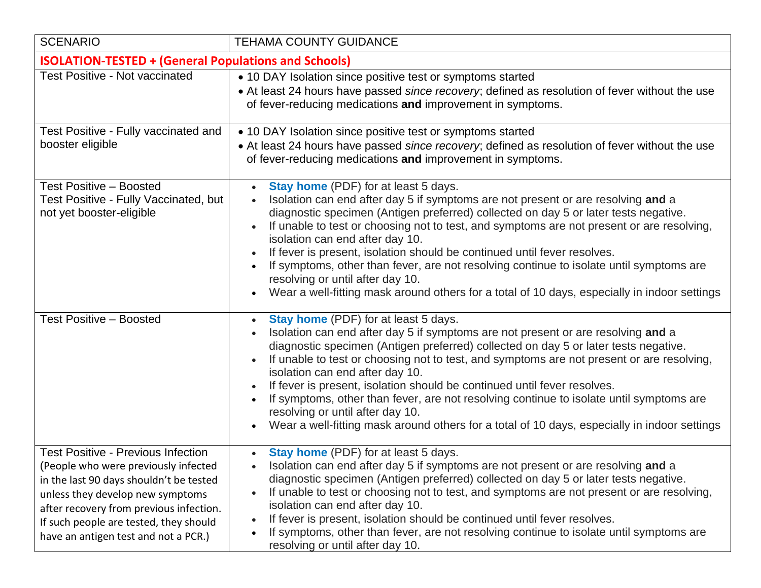| <b>SCENARIO</b>                                                                                                                                                                                                                                                                               | <b>TEHAMA COUNTY GUIDANCE</b>                                                                                                                                                                                                                                                                                                                                                                                                                                                                                                                                                                                                                                                                     |  |  |
|-----------------------------------------------------------------------------------------------------------------------------------------------------------------------------------------------------------------------------------------------------------------------------------------------|---------------------------------------------------------------------------------------------------------------------------------------------------------------------------------------------------------------------------------------------------------------------------------------------------------------------------------------------------------------------------------------------------------------------------------------------------------------------------------------------------------------------------------------------------------------------------------------------------------------------------------------------------------------------------------------------------|--|--|
| <b>ISOLATION-TESTED + (General Populations and Schools)</b>                                                                                                                                                                                                                                   |                                                                                                                                                                                                                                                                                                                                                                                                                                                                                                                                                                                                                                                                                                   |  |  |
| <b>Test Positive - Not vaccinated</b><br>Test Positive - Fully vaccinated and<br>booster eligible                                                                                                                                                                                             | • 10 DAY Isolation since positive test or symptoms started<br>• At least 24 hours have passed since recovery; defined as resolution of fever without the use<br>of fever-reducing medications and improvement in symptoms.<br>• 10 DAY Isolation since positive test or symptoms started<br>• At least 24 hours have passed since recovery; defined as resolution of fever without the use<br>of fever-reducing medications and improvement in symptoms.                                                                                                                                                                                                                                          |  |  |
| <b>Test Positive - Boosted</b><br>Test Positive - Fully Vaccinated, but<br>not yet booster-eligible                                                                                                                                                                                           | Stay home (PDF) for at least 5 days.<br>$\bullet$<br>Isolation can end after day 5 if symptoms are not present or are resolving and a<br>$\bullet$<br>diagnostic specimen (Antigen preferred) collected on day 5 or later tests negative.<br>If unable to test or choosing not to test, and symptoms are not present or are resolving,<br>isolation can end after day 10.<br>If fever is present, isolation should be continued until fever resolves.<br>If symptoms, other than fever, are not resolving continue to isolate until symptoms are<br>$\bullet$<br>resolving or until after day 10.<br>Wear a well-fitting mask around others for a total of 10 days, especially in indoor settings |  |  |
| <b>Test Positive - Boosted</b>                                                                                                                                                                                                                                                                | Stay home (PDF) for at least 5 days.<br>$\bullet$<br>Isolation can end after day 5 if symptoms are not present or are resolving and a<br>diagnostic specimen (Antigen preferred) collected on day 5 or later tests negative.<br>If unable to test or choosing not to test, and symptoms are not present or are resolving,<br>isolation can end after day 10.<br>If fever is present, isolation should be continued until fever resolves.<br>If symptoms, other than fever, are not resolving continue to isolate until symptoms are<br>resolving or until after day 10.<br>Wear a well-fitting mask around others for a total of 10 days, especially in indoor settings                           |  |  |
| <b>Test Positive - Previous Infection</b><br>(People who were previously infected<br>in the last 90 days shouldn't be tested<br>unless they develop new symptoms<br>after recovery from previous infection.<br>If such people are tested, they should<br>have an antigen test and not a PCR.) | Stay home (PDF) for at least 5 days.<br>$\bullet$<br>Isolation can end after day 5 if symptoms are not present or are resolving and a<br>diagnostic specimen (Antigen preferred) collected on day 5 or later tests negative.<br>If unable to test or choosing not to test, and symptoms are not present or are resolving,<br>$\bullet$<br>isolation can end after day 10.<br>If fever is present, isolation should be continued until fever resolves.<br>$\bullet$<br>If symptoms, other than fever, are not resolving continue to isolate until symptoms are<br>resolving or until after day 10.                                                                                                 |  |  |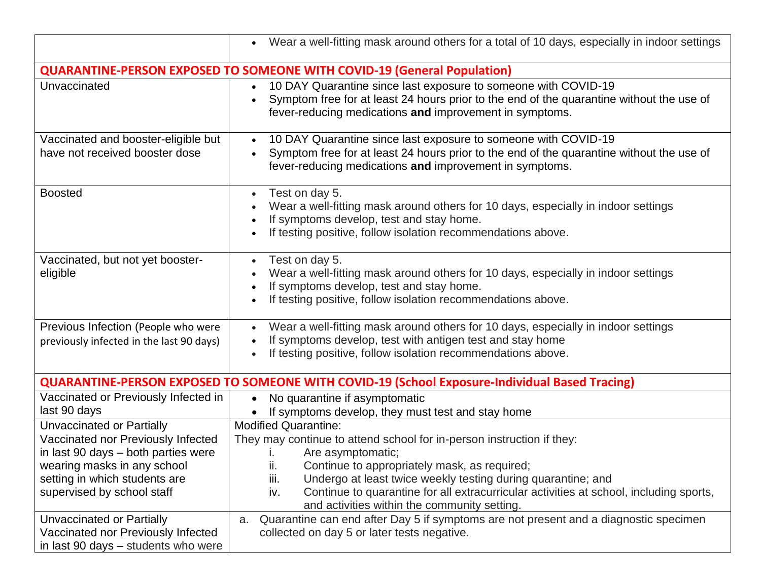|                                                                                                                                                                                                                                   | Wear a well-fitting mask around others for a total of 10 days, especially in indoor settings<br>$\bullet$                                                                                                                                                                                                                                                                                                                                                                                               |  |  |
|-----------------------------------------------------------------------------------------------------------------------------------------------------------------------------------------------------------------------------------|---------------------------------------------------------------------------------------------------------------------------------------------------------------------------------------------------------------------------------------------------------------------------------------------------------------------------------------------------------------------------------------------------------------------------------------------------------------------------------------------------------|--|--|
| <b>QUARANTINE-PERSON EXPOSED TO SOMEONE WITH COVID-19 (General Population)</b>                                                                                                                                                    |                                                                                                                                                                                                                                                                                                                                                                                                                                                                                                         |  |  |
| Unvaccinated                                                                                                                                                                                                                      | 10 DAY Quarantine since last exposure to someone with COVID-19<br>Symptom free for at least 24 hours prior to the end of the quarantine without the use of<br>$\bullet$<br>fever-reducing medications and improvement in symptoms.                                                                                                                                                                                                                                                                      |  |  |
| Vaccinated and booster-eligible but<br>have not received booster dose                                                                                                                                                             | 10 DAY Quarantine since last exposure to someone with COVID-19<br>$\bullet$<br>Symptom free for at least 24 hours prior to the end of the quarantine without the use of<br>$\bullet$<br>fever-reducing medications and improvement in symptoms.                                                                                                                                                                                                                                                         |  |  |
| <b>Boosted</b>                                                                                                                                                                                                                    | Test on day 5.<br>$\bullet$<br>Wear a well-fitting mask around others for 10 days, especially in indoor settings<br>$\bullet$<br>If symptoms develop, test and stay home.<br>$\bullet$<br>If testing positive, follow isolation recommendations above.<br>$\bullet$                                                                                                                                                                                                                                     |  |  |
| Vaccinated, but not yet booster-<br>eligible                                                                                                                                                                                      | Test on day 5.<br>$\bullet$<br>Wear a well-fitting mask around others for 10 days, especially in indoor settings<br>If symptoms develop, test and stay home.<br>$\bullet$<br>If testing positive, follow isolation recommendations above.                                                                                                                                                                                                                                                               |  |  |
| Previous Infection (People who were<br>previously infected in the last 90 days)                                                                                                                                                   | Wear a well-fitting mask around others for 10 days, especially in indoor settings<br>$\bullet$<br>If symptoms develop, test with antigen test and stay home<br>If testing positive, follow isolation recommendations above.<br>$\bullet$                                                                                                                                                                                                                                                                |  |  |
| <b>QUARANTINE-PERSON EXPOSED TO SOMEONE WITH COVID-19 (School Exposure-Individual Based Tracing)</b>                                                                                                                              |                                                                                                                                                                                                                                                                                                                                                                                                                                                                                                         |  |  |
| Vaccinated or Previously Infected in<br>last 90 days                                                                                                                                                                              | No quarantine if asymptomatic<br>$\bullet$<br>If symptoms develop, they must test and stay home<br>$\bullet$                                                                                                                                                                                                                                                                                                                                                                                            |  |  |
| Unvaccinated or Partially<br>Vaccinated nor Previously Infected<br>in last 90 days - both parties were<br>wearing masks in any school<br>setting in which students are<br>supervised by school staff<br>Unvaccinated or Partially | <b>Modified Quarantine:</b><br>They may continue to attend school for in-person instruction if they:<br>Are asymptomatic;<br>Continue to appropriately mask, as required;<br>ii.<br>iii.<br>Undergo at least twice weekly testing during quarantine; and<br>Continue to quarantine for all extracurricular activities at school, including sports,<br>iv.<br>and activities within the community setting.<br>Quarantine can end after Day 5 if symptoms are not present and a diagnostic specimen<br>a. |  |  |
| Vaccinated nor Previously Infected<br>in last 90 days - students who were                                                                                                                                                         | collected on day 5 or later tests negative.                                                                                                                                                                                                                                                                                                                                                                                                                                                             |  |  |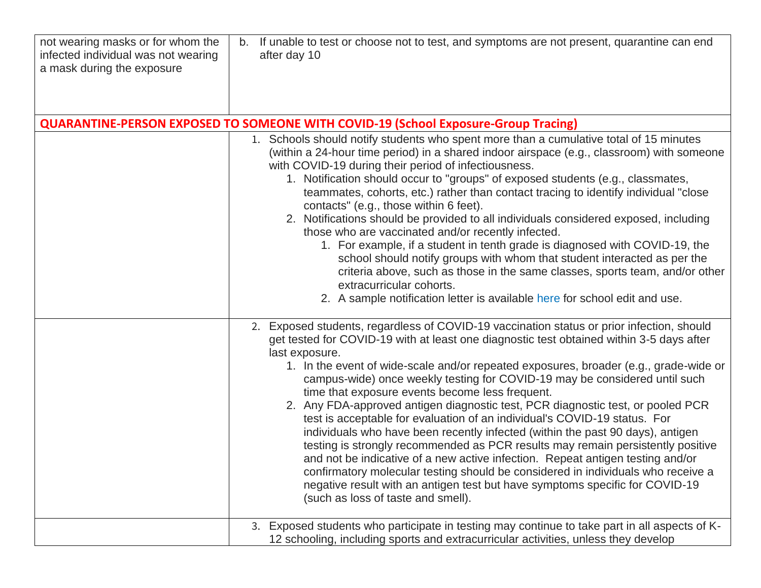| not wearing masks or for whom the<br>infected individual was not wearing<br>a mask during the exposure | b. If unable to test or choose not to test, and symptoms are not present, quarantine can end<br>after day 10                                                                                                                                                                                                                                                                                                                                                                                                                                                                                                                                                                                                                                                                                                                                                                                                                                                                                                                                                       |  |  |
|--------------------------------------------------------------------------------------------------------|--------------------------------------------------------------------------------------------------------------------------------------------------------------------------------------------------------------------------------------------------------------------------------------------------------------------------------------------------------------------------------------------------------------------------------------------------------------------------------------------------------------------------------------------------------------------------------------------------------------------------------------------------------------------------------------------------------------------------------------------------------------------------------------------------------------------------------------------------------------------------------------------------------------------------------------------------------------------------------------------------------------------------------------------------------------------|--|--|
|                                                                                                        | <b>QUARANTINE-PERSON EXPOSED TO SOMEONE WITH COVID-19 (School Exposure-Group Tracing)</b>                                                                                                                                                                                                                                                                                                                                                                                                                                                                                                                                                                                                                                                                                                                                                                                                                                                                                                                                                                          |  |  |
|                                                                                                        | 1. Schools should notify students who spent more than a cumulative total of 15 minutes<br>(within a 24-hour time period) in a shared indoor airspace (e.g., classroom) with someone<br>with COVID-19 during their period of infectiousness.<br>1. Notification should occur to "groups" of exposed students (e.g., classmates,<br>teammates, cohorts, etc.) rather than contact tracing to identify individual "close<br>contacts" (e.g., those within 6 feet).<br>2. Notifications should be provided to all individuals considered exposed, including<br>those who are vaccinated and/or recently infected.<br>1. For example, if a student in tenth grade is diagnosed with COVID-19, the<br>school should notify groups with whom that student interacted as per the<br>criteria above, such as those in the same classes, sports team, and/or other<br>extracurricular cohorts.<br>2. A sample notification letter is available here for school edit and use.                                                                                                 |  |  |
|                                                                                                        | 2. Exposed students, regardless of COVID-19 vaccination status or prior infection, should<br>get tested for COVID-19 with at least one diagnostic test obtained within 3-5 days after<br>last exposure.<br>1. In the event of wide-scale and/or repeated exposures, broader (e.g., grade-wide or<br>campus-wide) once weekly testing for COVID-19 may be considered until such<br>time that exposure events become less frequent.<br>2. Any FDA-approved antigen diagnostic test, PCR diagnostic test, or pooled PCR<br>test is acceptable for evaluation of an individual's COVID-19 status. For<br>individuals who have been recently infected (within the past 90 days), antigen<br>testing is strongly recommended as PCR results may remain persistently positive<br>and not be indicative of a new active infection. Repeat antigen testing and/or<br>confirmatory molecular testing should be considered in individuals who receive a<br>negative result with an antigen test but have symptoms specific for COVID-19<br>(such as loss of taste and smell). |  |  |
|                                                                                                        | 3. Exposed students who participate in testing may continue to take part in all aspects of K-<br>12 schooling, including sports and extracurricular activities, unless they develop                                                                                                                                                                                                                                                                                                                                                                                                                                                                                                                                                                                                                                                                                                                                                                                                                                                                                |  |  |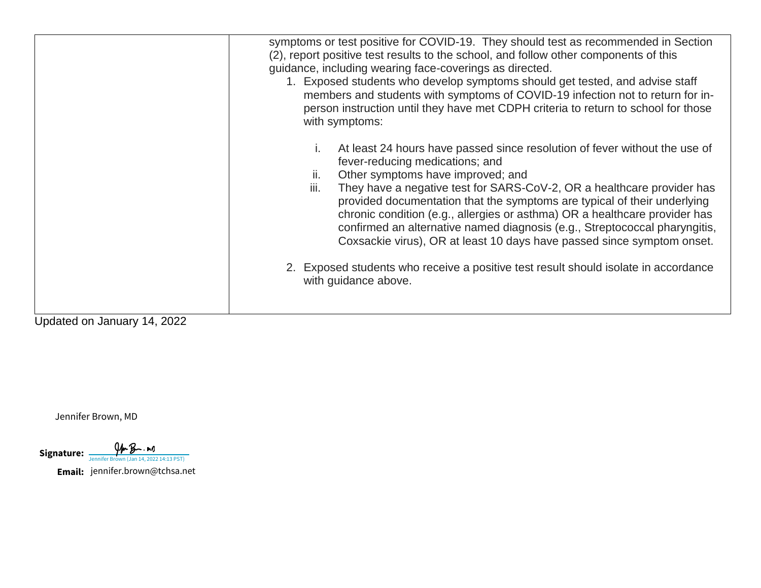|                              | symptoms or test positive for COVID-19. They should test as recommended in Section<br>(2), report positive test results to the school, and follow other components of this<br>guidance, including wearing face-coverings as directed.<br>1. Exposed students who develop symptoms should get tested, and advise staff<br>members and students with symptoms of COVID-19 infection not to return for in-<br>person instruction until they have met CDPH criteria to return to school for those<br>with symptoms:                                                                                                                                                                   |
|------------------------------|-----------------------------------------------------------------------------------------------------------------------------------------------------------------------------------------------------------------------------------------------------------------------------------------------------------------------------------------------------------------------------------------------------------------------------------------------------------------------------------------------------------------------------------------------------------------------------------------------------------------------------------------------------------------------------------|
|                              | At least 24 hours have passed since resolution of fever without the use of<br>Τ.<br>fever-reducing medications; and<br>Other symptoms have improved; and<br>н.<br>iii.<br>They have a negative test for SARS-CoV-2, OR a healthcare provider has<br>provided documentation that the symptoms are typical of their underlying<br>chronic condition (e.g., allergies or asthma) OR a healthcare provider has<br>confirmed an alternative named diagnosis (e.g., Streptococcal pharyngitis,<br>Coxsackie virus), OR at least 10 days have passed since symptom onset.<br>2. Exposed students who receive a positive test result should isolate in accordance<br>with guidance above. |
| $Il$ Dollar Lanuary 11, 2022 |                                                                                                                                                                                                                                                                                                                                                                                                                                                                                                                                                                                                                                                                                   |

Updated on January 14, 2022

Jennifer Brown, MD

Signature: <del>Jennifer Brown (Jan 14, 2022 14:13 PST</del>)

**Email:** jennifer.brown@tchsa.net